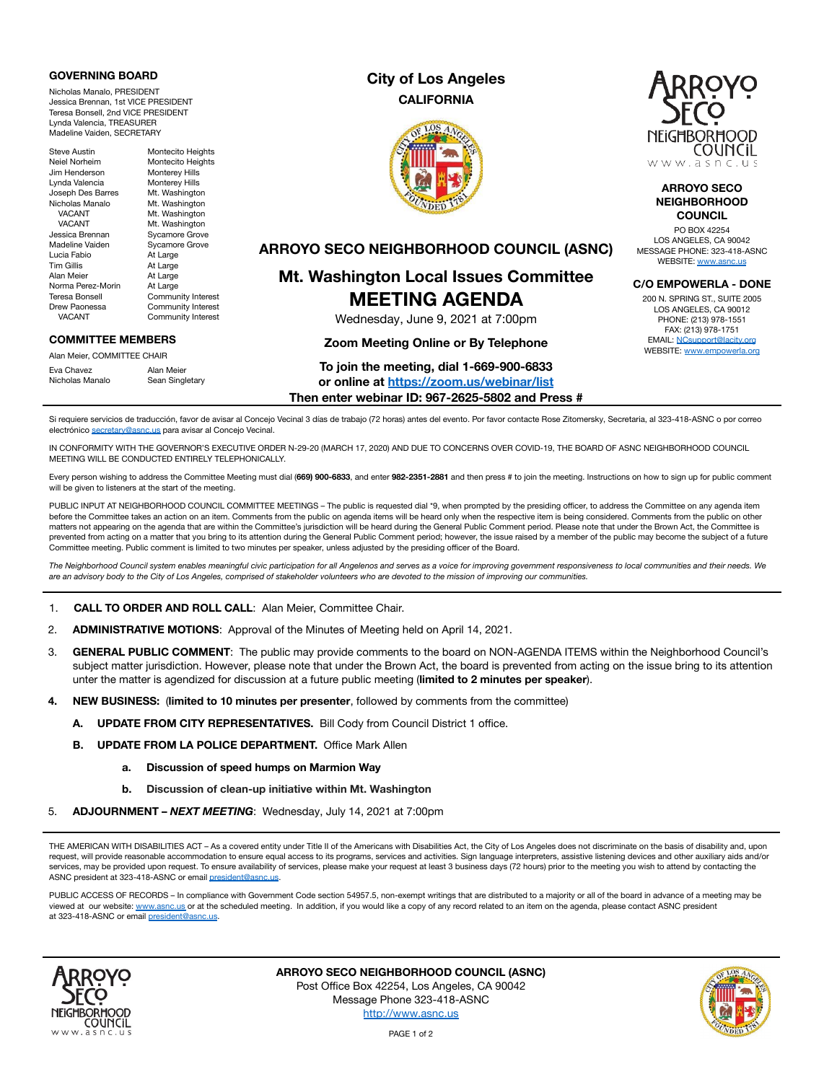#### **GOVERNING BOARD**

Nicholas Manalo, PRESIDENT Jessica Brennan, 1st VICE PRESIDENT Teresa Bonsell, 2nd VICE PRESIDENT Lynda Valencia, TREASURER Madeline Vaiden, SECRETARY

Steve Austin Montecito Heights Neiel Norheim Montecito Heights<br>
Jim Henderson Monterev Hills Jim Henderson Monterey Hills<br>Lynda Valencia Monterey Hills Lynda Valencia **Monterey Hills**<br>Joseph Des Barres Mt. Washingto Nicholas Manalo<br>VACANT VACANT Mt. Washington<br>VACANT Mt. Washington VACANT Mt. Washington<br>Jessica Brennan Sycamore Grove Jessica Brennan Sycamore Grove<br>
Madeline Vaiden Sycamore Grove Madeline Vaiden Sycamore Grove<br>Lucia Fabio At Large Tim Gillis At Large Alan Meier **At Large** Norma Perez-Morin At Large<br>Teresa Bonsell Commun **Teresa Bonsell Community Interest**<br>Drew Paonessa **Community Interest** ew Paonessa Community Interest<br>VACANT Community Interest

# Mt. Washington<br>Mt. Washington At Large Community Interest

#### **COMMITTEE MEMBERS**

Alan Meier, COMMITTEE CHAIR Eva Chavez Alan Meier Nicholas Manalo Sean Singletary

## **City of Los Angeles CALIFORNIA**





#### **ARROYO SECO NEIGHBORHOOD COUNCIL**

PO BOX 42254 LOS ANGELES, CA 90042 MESSAGE PHONE: 323-418-ASNC WEBSITE: [www.asnc.us](http://www.asnc.us/)

#### **C/O EMPOWERLA - DONE**

200 N. SPRING ST., SUITE 2005 LOS ANGELES, CA 90012 PHONE: (213) 978-1551 FAX: (213) 978-1751 EMAIL: [NCsupport@lacity.org](mailto:NCsupport@lacity.org) WEBSITE: [www.empowerla.org](http://www.empowerla.org/)

### **ARROYO SECO NEIGHBORHOOD COUNCIL (ASNC)**

# **Mt. Washington Local Issues Committee MEETING AGENDA**

Wednesday, June 9, 2021 at 7:00pm

#### **Zoom Meeting Online or By Telephone**

#### **To join the meeting, dial 1-669-900-6833**

**or online at <https://zoom.us/webinar/list>**

**Then enter webinar ID: 967-2625-5802 and Press #**

Si requiere servicios de traducción, favor de avisar al Concejo Vecinal 3 días de trabajo (72 horas) antes del evento. Por favor contacte Rose Zitomersky, Secretaria, al 323-418-ASNC o por correo electrónico [secretary@asnc.us](mailto:secretary@asnc.us) para avisar al Concejo Vecinal.

IN CONFORMITY WITH THE GOVERNOR'S EXECUTIVE ORDER N-29-20 (MARCH 17, 2020) AND DUE TO CONCERNS OVER COVID-19, THE BOARD OF ASNC NEIGHBORHOOD COUNCIL MEETING WILL BE CONDUCTED ENTIRELY TELEPHONICALLY.

Every person wishing to address the Committee Meeting must dial (**669) 900-6833**, and enter **982-2351-2881** and then press # to join the meeting. Instructions on how to sign up for public comment will be given to listeners at the start of the meeting.

PUBLIC INPUT AT NEIGHBORHOOD COUNCIL COMMITTEE MEETINGS – The public is requested dial \*9, when prompted by the presiding officer, to address the Committee on any agenda item before the Committee takes an action on an item. Comments from the public on agenda items will be heard only when the respective item is being considered. Comments from the public on other matters not appearing on the agenda that are within the Committee's jurisdiction will be heard during the General Public Comment period. Please note that under the Brown Act, the Committee is prevented from acting on a matter that you bring to its attention during the General Public Comment period; however, the issue raised by a member of the public may become the subject of a future Committee meeting. Public comment is limited to two minutes per speaker, unless adjusted by the presiding officer of the Board.

*The Neighborhood Council system enables meaningful civic participation for all Angelenos and serves as a voice for improving government responsiveness to local communities and their needs. We are an advisory body to the City of Los Angeles, comprised of stakeholder volunteers who are devoted to the mission of improving our communities.*

1. **CALL TO ORDER AND ROLL CALL**: Alan Meier, Committee Chair.

- 2. **ADMINISTRATIVE MOTIONS**: Approval of the Minutes of Meeting held on April 14, 2021.
- 3. **GENERAL PUBLIC COMMENT**: The public may provide comments to the board on NON-AGENDA ITEMS within the Neighborhood Council's subject matter jurisdiction. However, please note that under the Brown Act, the board is prevented from acting on the issue bring to its attention unter the matter is agendized for discussion at a future public meeting (**limited to 2 minutes per speaker**).
- **4. NEW BUSINESS:** (**limited to 10 minutes per presenter**, followed by comments from the committee)
	- **A. UPDATE FROM CITY REPRESENTATIVES.** Bill Cody from Council District 1 office.
	- **B. UPDATE FROM LA POLICE DEPARTMENT.** Office Mark Allen
		- **a. Discussion of speed humps on Marmion Way**
		- **b. Discussion of clean-up initiative within Mt. Washington**
- 5. **ADJOURNMENT –** *NEXT MEETING*: Wednesday, July 14, 2021 at 7:00pm

THE AMERICAN WITH DISABILITIES ACT - As a covered entity under Title II of the Americans with Disabilities Act, the City of Los Angeles does not discriminate on the basis of disability and, upon request, will provide reasonable accommodation to ensure equal access to its programs, services and activities. Sign language interpreters, assistive listening devices and other auxiliary aids and/or services, may be provided upon request. To ensure availability of services, please make your request at least 3 business days (72 hours) prior to the meeting you wish to attend by contacting the ASNC president at 323-418-ASNC or email [president@asnc.us.](mailto:president@asnc.us)

PUBLIC ACCESS OF RECORDS – In compliance with Government Code section 54957.5, non-exempt writings that are distributed to a majority or all of the board in advance of a meeting may be viewed at our website: [www.asnc.us](http://www.asnc.us/) or at the scheduled meeting. In addition, if you would like a copy of any record related to an item on the agenda, please contact ASNC president at 323-418-ASNC or email [president@asnc.us](mailto:president@asnc.us).



**ARROYO SECO NEIGHBORHOOD COUNCIL (ASNC)** Post Office Box 42254, Los Angeles, CA 90042 Message Phone 323-418-ASNC <http://www.asnc.us>